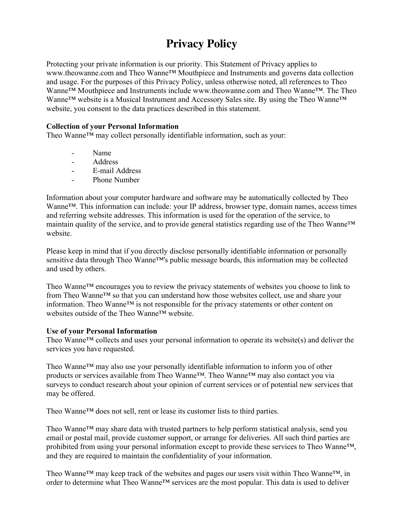# **Privacy Policy**

Protecting your private information is our priority. This Statement of Privacy applies to www.theowanne.com and Theo Wanne™ Mouthpiece and Instruments and governs data collection and usage. For the purposes of this Privacy Policy, unless otherwise noted, all references to Theo Wanne™ Mouthpiece and Instruments include www.theowanne.com and Theo Wanne™. The Theo Wanne™ website is a Musical Instrument and Accessory Sales site. By using the Theo Wanne™ website, you consent to the data practices described in this statement.

## **Collection of your Personal Information**

Theo Wanne™ may collect personally identifiable information, such as your:

- Name
- Address
- E-mail Address
- Phone Number

Information about your computer hardware and software may be automatically collected by Theo Wanne™. This information can include: your IP address, browser type, domain names, access times and referring website addresses. This information is used for the operation of the service, to maintain quality of the service, and to provide general statistics regarding use of the Theo Wanne™ website.

Please keep in mind that if you directly disclose personally identifiable information or personally sensitive data through Theo Wanne<sup>™'s</sup> public message boards, this information may be collected and used by others.

Theo Wanne™ encourages you to review the privacy statements of websites you choose to link to from Theo Wanne™ so that you can understand how those websites collect, use and share your information. Theo Wanne™ is not responsible for the privacy statements or other content on websites outside of the Theo Wanne™ website.

## **Use of your Personal Information**

Theo Wanne™ collects and uses your personal information to operate its website(s) and deliver the services you have requested.

Theo Wanne™ may also use your personally identifiable information to inform you of other products or services available from Theo Wanne™. Theo Wanne™ may also contact you via surveys to conduct research about your opinion of current services or of potential new services that may be offered.

Theo Wanne™ does not sell, rent or lease its customer lists to third parties.

Theo Wanne™ may share data with trusted partners to help perform statistical analysis, send you email or postal mail, provide customer support, or arrange for deliveries. All such third parties are prohibited from using your personal information except to provide these services to Theo Wanne™, and they are required to maintain the confidentiality of your information.

Theo Wanne<sup>™</sup> may keep track of the websites and pages our users visit within Theo Wanne<sup>™</sup>, in order to determine what Theo Wanne™ services are the most popular. This data is used to deliver